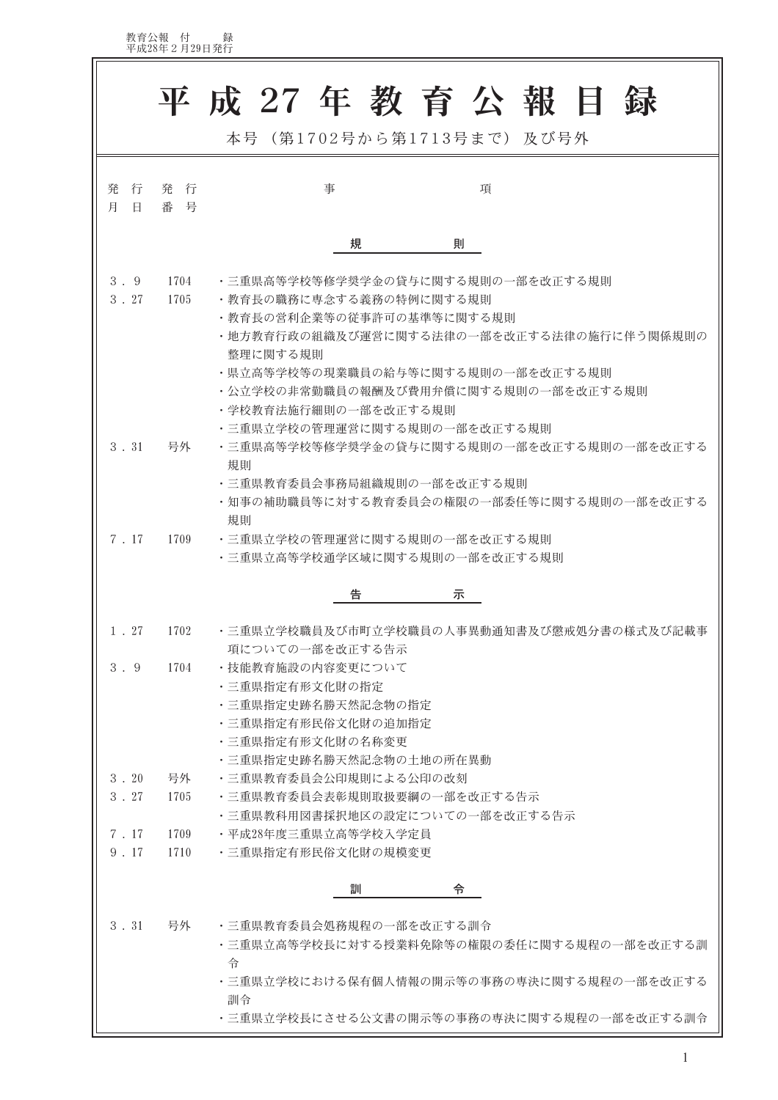教育公報 付 録<br>平成28年2月29日発行

F.

|                       |              | 平成 27年教育公報目<br>本号 (第1702号から第1713号まで) 及び号外                                                                                                                                                                                       |
|-----------------------|--------------|---------------------------------------------------------------------------------------------------------------------------------------------------------------------------------------------------------------------------------|
| 行<br>発<br>月<br>$\Box$ | 発 行<br>番 号   | 事<br>項                                                                                                                                                                                                                          |
|                       |              | 規<br>則                                                                                                                                                                                                                          |
| 3.9<br>3.27           | 1704<br>1705 | ・三重県高等学校等修学奨学金の貸与に関する規則の一部を改正する規則<br>・教育長の職務に専念する義務の特例に関する規則<br>・教育長の営利企業等の従事許可の基準等に関する規則<br>・地方教育行政の組織及び運営に関する法律の一部を改正する法律の施行に伴う関係規則の<br>整理に関する規則<br>・県立高等学校等の現業職員の給与等に関する規則の一部を改正する規則<br>・公立学校の非常勤職員の報酬及び費用弁償に関する規則の一部を改正する規則 |
| 3.31                  | 号外           | ・学校教育法施行細則の一部を改正する規則<br>・三重県立学校の管理運営に関する規則の一部を改正する規則<br>・三重県高等学校等修学奨学金の貸与に関する規則の一部を改正する規則の一部を改正する<br>規則<br>・三重県教育委員会事務局組織規則の一部を改正する規則<br>・知事の補助職員等に対する教育委員会の権限の一部委任等に関する規則の一部を改正する                                              |
| 7.17                  | 1709         | 規則<br>・三重県立学校の管理運営に関する規則の一部を改正する規則<br>・三重県立高等学校通学区域に関する規則の一部を改正する規則                                                                                                                                                             |
|                       |              | 告<br>示                                                                                                                                                                                                                          |
| 1.27                  | 1702         | ・三重県立学校職員及び市町立学校職員の人事異動通知書及び懲戒処分書の様式及び記載事<br>項についての一部を改正する告示                                                                                                                                                                    |
| 3.9                   | 1704         | ・技能教育施設の内容変更について<br>・三重県指定有形文化財の指定<br>・三重県指定史跡名勝天然記念物の指定<br>・三重県指定有形民俗文化財の追加指定<br>・三重県指定有形文化財の名称変更<br>・三重県指定史跡名勝天然記念物の土地の所在異動                                                                                                   |
| 3.20<br>3.27          | 号外<br>1705   | ・三重県教育委員会公印規則による公印の改刻<br>• 三重県教育委員会表彰規則取扱要綱の一部を改正する告示                                                                                                                                                                           |
| 7.17<br>9.17          | 1709<br>1710 | ・三重県教科用図書採択地区の設定についての一部を改正する告示<br>・平成28年度三重県立高等学校入学定員 <br>・三重県指定有形民俗文化財の規模変更                                                                                                                                                    |
|                       |              | 訓<br>令                                                                                                                                                                                                                          |
| 3.31                  | 号外           | ・三重県教育委員会処務規程の一部を改正する訓令<br>・三重県立高等学校長に対する授業料免除等の権限の委任に関する規程の一部を改正する訓<br>令<br>・三重県立学校における保有個人情報の開示等の事務の専決に関する規程の一部を改正する<br>訓令                                                                                                    |
|                       |              | ・三重県立学校長にさせる公文書の開示等の事務の専決に関する規程の一部を改正する訓令                                                                                                                                                                                       |

 $\overline{\phantom{0}}$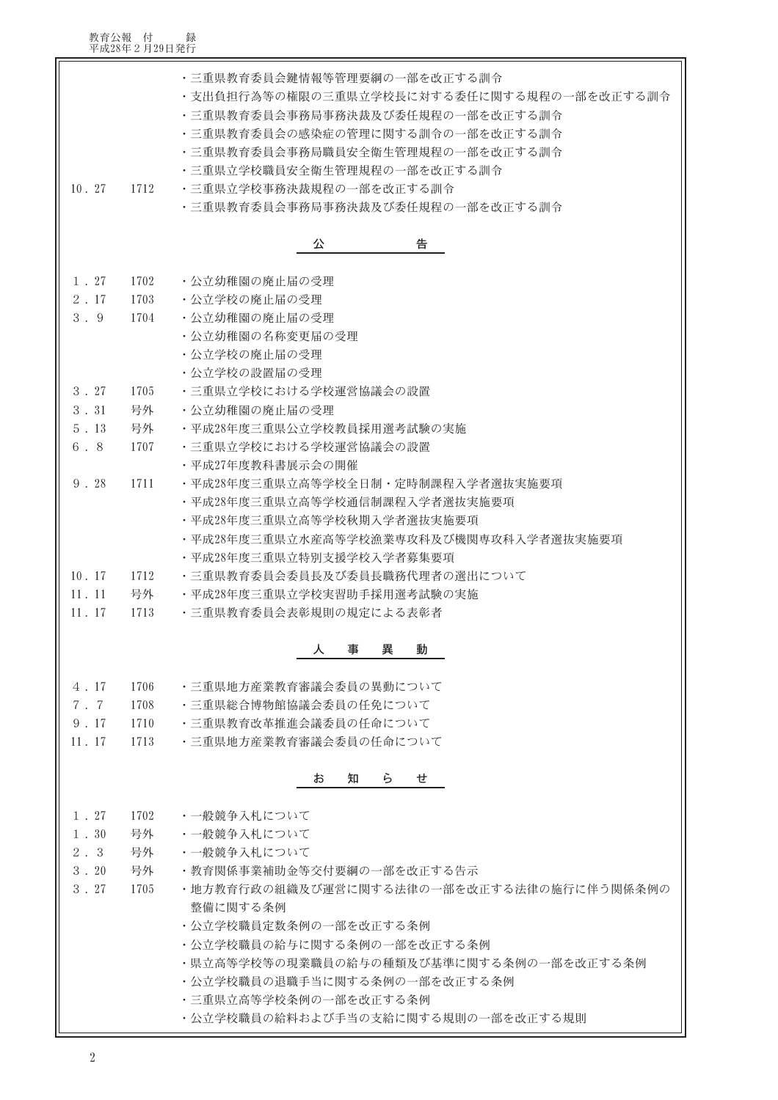## 教育公報 付 録<br>平成28年2月29日発行

| 10.27        | 1712 | ・三重県教育委員会鍵情報等管理要綱の一部を改正する訓令<br>・支出負担行為等の権限の三重県立学校長に対する委任に関する規程の一部を改正する訓令<br>・三重県教育委員会事務局事務決裁及び委任規程の一部を改正する訓令<br>・三重県教育委員会の感染症の管理に関する訓令の一部を改正する訓令<br>・三重県教育委員会事務局職員安全衛生管理規程の一部を改正する訓令<br>・三重県立学校職員安全衛生管理規程の一部を改正する訓令<br>・三重県立学校事務決裁規程の一部を改正する訓令<br>・三重県教育委員会事務局事務決裁及び委任規程の一部を改正する訓令 |  |  |  |  |
|--------------|------|------------------------------------------------------------------------------------------------------------------------------------------------------------------------------------------------------------------------------------------------------------------------------------|--|--|--|--|
|              |      | 公<br>告                                                                                                                                                                                                                                                                             |  |  |  |  |
| $1$ , $27$   | 1702 | ・公立幼稚園の廃止届の受理                                                                                                                                                                                                                                                                      |  |  |  |  |
| $2$ . 17     | 1703 | ・公立学校の廃止届の受理                                                                                                                                                                                                                                                                       |  |  |  |  |
| 3.9          | 1704 | ・公立幼稚園の廃止届の受理                                                                                                                                                                                                                                                                      |  |  |  |  |
|              |      | ・公立幼稚園の名称変更届の受理                                                                                                                                                                                                                                                                    |  |  |  |  |
|              |      | ・公立学校の廃止届の受理                                                                                                                                                                                                                                                                       |  |  |  |  |
|              |      | ・公立学校の設置届の受理                                                                                                                                                                                                                                                                       |  |  |  |  |
| 3.27         | 1705 | ・三重県立学校における学校運営協議会の設置                                                                                                                                                                                                                                                              |  |  |  |  |
| 3.31         | 号外   | ・公立幼稚園の廃止届の受理                                                                                                                                                                                                                                                                      |  |  |  |  |
| 5.13         | 号外   | ・平成28年度三重県公立学校教員採用選考試験の実施                                                                                                                                                                                                                                                          |  |  |  |  |
| 6.8          | 1707 | ・三重県立学校における学校運営協議会の設置                                                                                                                                                                                                                                                              |  |  |  |  |
|              |      | ・平成27年度教科書展示会の開催                                                                                                                                                                                                                                                                   |  |  |  |  |
| 9.28         | 1711 | ・平成28年度三重県立高等学校全日制・定時制課程入学者選抜実施要項                                                                                                                                                                                                                                                  |  |  |  |  |
|              |      | ・平成28年度三重県立高等学校通信制課程入学者選抜実施要項                                                                                                                                                                                                                                                      |  |  |  |  |
|              |      | ・平成28年度三重県立高等学校秋期入学者選抜実施要項                                                                                                                                                                                                                                                         |  |  |  |  |
|              |      | ・平成28年度三重県立水産高等学校漁業専攻科及び機関専攻科入学者選抜実施要項                                                                                                                                                                                                                                             |  |  |  |  |
|              |      | ・平成28年度三重県立特別支援学校入学者募集要項                                                                                                                                                                                                                                                           |  |  |  |  |
| 10.17        | 1712 | ・三重県教育委員会委員長及び委員長職務代理者の選出について                                                                                                                                                                                                                                                      |  |  |  |  |
| 11.11        | 号外   | ・平成28年度三重県立学校実習助手採用選考試験の実施                                                                                                                                                                                                                                                         |  |  |  |  |
| 11.17        | 1713 | ・三重県教育委員会表彰規則の規定による表彰者                                                                                                                                                                                                                                                             |  |  |  |  |
|              |      | 異<br>事<br>動<br>ᄉ                                                                                                                                                                                                                                                                   |  |  |  |  |
|              |      |                                                                                                                                                                                                                                                                                    |  |  |  |  |
| 4.17         | 1706 | ・三重県地方産業教育審議会委員の異動について                                                                                                                                                                                                                                                             |  |  |  |  |
| 7.7          | 1708 | ・三重県総合博物館協議会委員の任免について                                                                                                                                                                                                                                                              |  |  |  |  |
| 9.17         | 1710 | ・三重県教育改革推進会議委員の任命について                                                                                                                                                                                                                                                              |  |  |  |  |
| 11.17        | 1713 | ・三重県地方産業教育審議会委員の任命について                                                                                                                                                                                                                                                             |  |  |  |  |
|              |      | ら<br>お<br>知<br>せ                                                                                                                                                                                                                                                                   |  |  |  |  |
|              |      |                                                                                                                                                                                                                                                                                    |  |  |  |  |
| $1$ , 27     | 1702 | ・一般競争入札について                                                                                                                                                                                                                                                                        |  |  |  |  |
| $1 \cdot 30$ | 号外   | ・一般競争入札について                                                                                                                                                                                                                                                                        |  |  |  |  |
| 2.3          | 号外   | ・一般競争入札について                                                                                                                                                                                                                                                                        |  |  |  |  |
| $3 \cdot 20$ | 号外   | • 教育関係事業補助金等交付要綱の一部を改正する告示                                                                                                                                                                                                                                                         |  |  |  |  |
| $3 \cdot 27$ | 1705 | ・地方教育行政の組織及び運営に関する法律の一部を改正する法律の施行に伴う関係条例の<br>整備に関する条例                                                                                                                                                                                                                              |  |  |  |  |
|              |      | ・公立学校職員定数条例の一部を改正する条例                                                                                                                                                                                                                                                              |  |  |  |  |
|              |      | ・公立学校職員の給与に関する条例の一部を改正する条例                                                                                                                                                                                                                                                         |  |  |  |  |
|              |      | ・県立高等学校等の現業職員の給与の種類及び基準に関する条例の一部を改正する条例                                                                                                                                                                                                                                            |  |  |  |  |
|              |      | ・公立学校職員の退職手当に関する条例の一部を改正する条例                                                                                                                                                                                                                                                       |  |  |  |  |
|              |      | ・三重県立高等学校条例の一部を改正する条例                                                                                                                                                                                                                                                              |  |  |  |  |
|              |      | ・公立学校職員の給料および手当の支給に関する規則の一部を改正する規則                                                                                                                                                                                                                                                 |  |  |  |  |